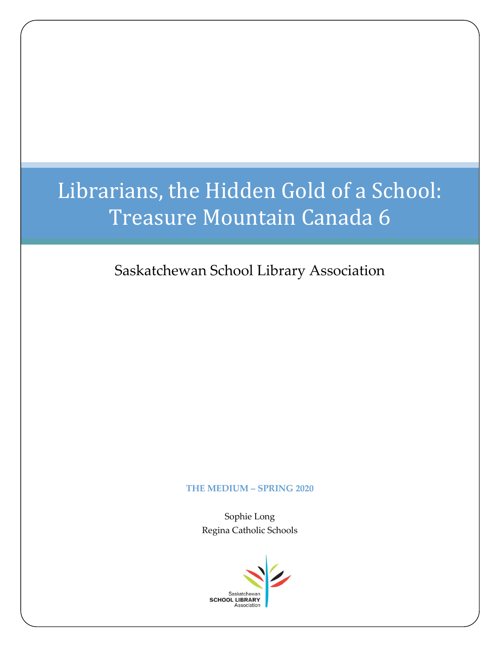# Librarians, the Hidden Gold of a School: Treasure Mountain Canada 6

Saskatchewan School Library Association

#### **THE MEDIUM – SPRING 2020**

Sophie Long Regina Catholic Schools

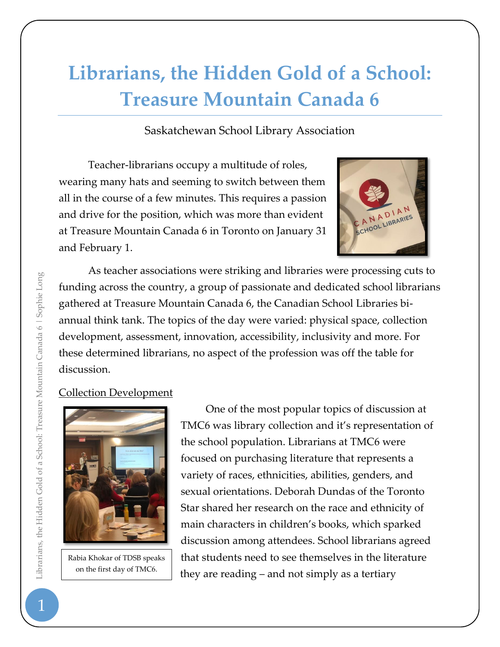## **Librarians, the Hidden Gold of a School: Treasure Mountain Canada 6**

Saskatchewan School Library Association

Teacher-librarians occupy a multitude of roles, wearing many hats and seeming to switch between them all in the course of a few minutes. This requires a passion and drive for the position, which was more than evident at Treasure Mountain Canada 6 in Toronto on January 31 and February 1.



As teacher associations were striking and libraries were processing cuts to funding across the country, a group of passionate and dedicated school librarians gathered at Treasure Mountain Canada 6, the Canadian School Libraries biannual think tank. The topics of the day were varied: physical space, collection development, assessment, innovation, accessibility, inclusivity and more. For these determined librarians, no aspect of the profession was off the table for discussion.

## Collection Development



Rabia Khokar of TDSB speaks on the first day of TMC6.

One of the most popular topics of discussion at TMC6 was library collection and it's representation of the school population. Librarians at TMC6 were focused on purchasing literature that represents a variety of races, ethnicities, abilities, genders, and sexual orientations. Deborah Dundas of the Toronto Star shared her research on the race and ethnicity of main characters in children's books, which sparked discussion among attendees. School librarians agreed that students need to see themselves in the literature they are reading – and not simply as a tertiary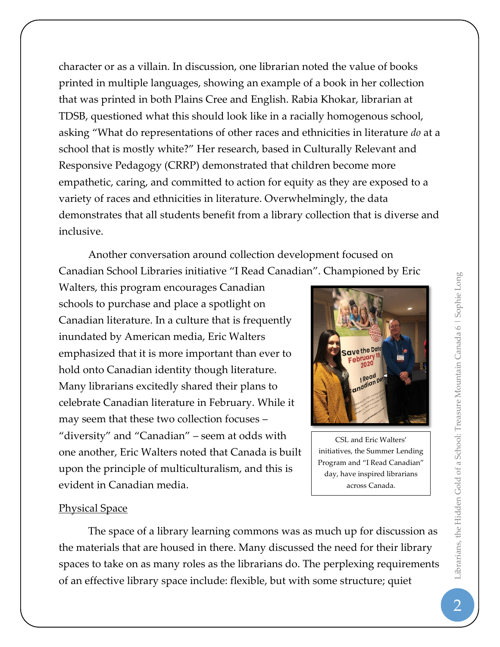character or as a villain. In discussion, one librarian noted the value of books printed in multiple languages, showing an example of a book in her collection that was printed in both Plains Cree and English. Rabia Khokar, librarian at TDSB, questioned what this should look like in a racially homogenous school, asking "What do representations of other races and ethnicities in literature *do* at a school that is mostly white?" Her research, based in Culturally Relevant and Responsive Pedagogy (CRRP) demonstrated that children become more empathetic, caring, and committed to action for equity as they are exposed to a variety of races and ethnicities in literature. Overwhelmingly, the data demonstrates that all students benefit from a library collection that is diverse and inclusive.

Another conversation around collection development focused on Canadian School Libraries initiative "I Read Canadian". Championed by Eric

Walters, this program encourages Canadian schools to purchase and place a spotlight on Canadian literature. In a culture that is frequently inundated by American media, Eric Walters emphasized that it is more important than ever to hold onto Canadian identity though literature. Many librarians excitedly shared their plans to celebrate Canadian literature in February. While it may seem that these two collection focuses – "diversity" and "Canadian" – seem at odds with one another, Eric Walters noted that Canada is built upon the principle of multiculturalism, and this is evident in Canadian media.



CSL and Eric Walters' initiatives, the Summer Lending Program and "I Read Canadian" day, have inspired librarians across Canada.

### Physical Space

The space of a library learning commons was as much up for discussion as the materials that are housed in there. Many discussed the need for their library spaces to take on as many roles as the librarians do. The perplexing requirements of an effective library space include: flexible, but with some structure; quiet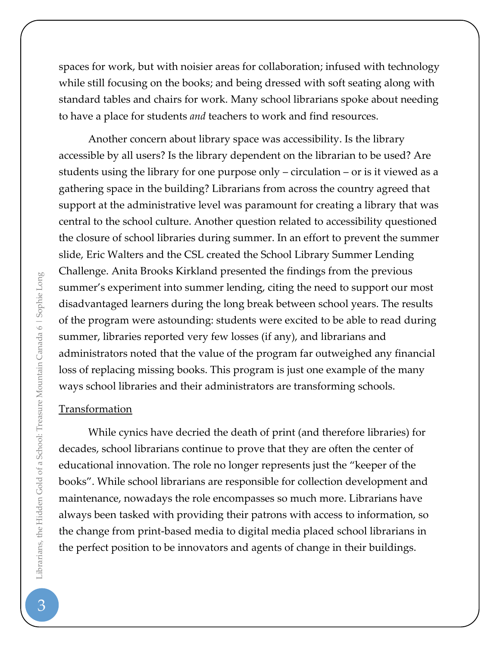spaces for work, but with noisier areas for collaboration; infused with technology while still focusing on the books; and being dressed with soft seating along with standard tables and chairs for work. Many school librarians spoke about needing to have a place for students *and* teachers to work and find resources.

Another concern about library space was accessibility. Is the library accessible by all users? Is the library dependent on the librarian to be used? Are students using the library for one purpose only – circulation – or is it viewed as a gathering space in the building? Librarians from across the country agreed that support at the administrative level was paramount for creating a library that was central to the school culture. Another question related to accessibility questioned the closure of school libraries during summer. In an effort to prevent the summer slide, Eric Walters and the CSL created the School Library Summer Lending Challenge. Anita Brooks Kirkland presented the findings from the previous summer's experiment into summer lending, citing the need to support our most disadvantaged learners during the long break between school years. The results of the program were astounding: students were excited to be able to read during summer, libraries reported very few losses (if any), and librarians and administrators noted that the value of the program far outweighed any financial loss of replacing missing books. This program is just one example of the many ways school libraries and their administrators are transforming schools.

#### Transformation

While cynics have decried the death of print (and therefore libraries) for decades, school librarians continue to prove that they are often the center of educational innovation. The role no longer represents just the "keeper of the books". While school librarians are responsible for collection development and maintenance, nowadays the role encompasses so much more. Librarians have always been tasked with providing their patrons with access to information, so the change from print-based media to digital media placed school librarians in the perfect position to be innovators and agents of change in their buildings.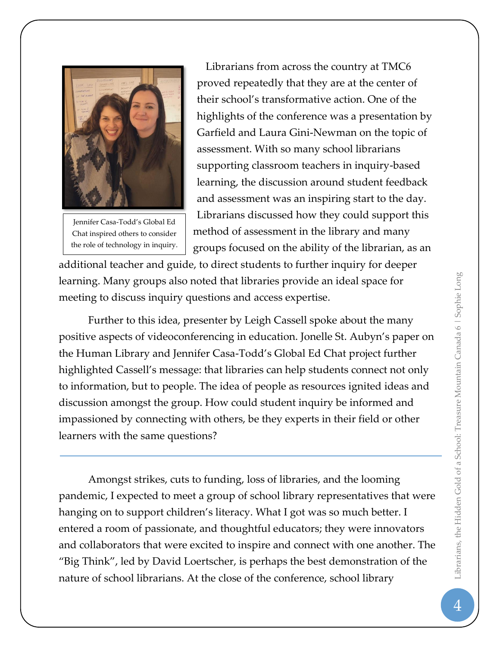

Jennifer Casa-Todd's Global Ed Chat inspired others to consider the role of technology in inquiry.

Librarians from across the country at TMC6 proved repeatedly that they are at the center of their school's transformative action. One of the highlights of the conference was a presentation by Garfield and Laura Gini-Newman on the topic of assessment. With so many school librarians supporting classroom teachers in inquiry-based learning, the discussion around student feedback and assessment was an inspiring start to the day. Librarians discussed how they could support this method of assessment in the library and many groups focused on the ability of the librarian, as an

additional teacher and guide, to direct students to further inquiry for deeper learning. Many groups also noted that libraries provide an ideal space for meeting to discuss inquiry questions and access expertise.

Further to this idea, presenter by Leigh Cassell spoke about the many positive aspects of videoconferencing in education. Jonelle St. Aubyn's paper on the Human Library and Jennifer Casa-Todd's Global Ed Chat project further highlighted Cassell's message: that libraries can help students connect not only to information, but to people. The idea of people as resources ignited ideas and discussion amongst the group. How could student inquiry be informed and impassioned by connecting with others, be they experts in their field or other learners with the same questions?

Amongst strikes, cuts to funding, loss of libraries, and the looming pandemic, I expected to meet a group of school library representatives that were hanging on to support children's literacy. What I got was so much better. I entered a room of passionate, and thoughtful educators; they were innovators and collaborators that were excited to inspire and connect with one another. The "Big Think", led by David Loertscher, is perhaps the best demonstration of the nature of school librarians. At the close of the conference, school library